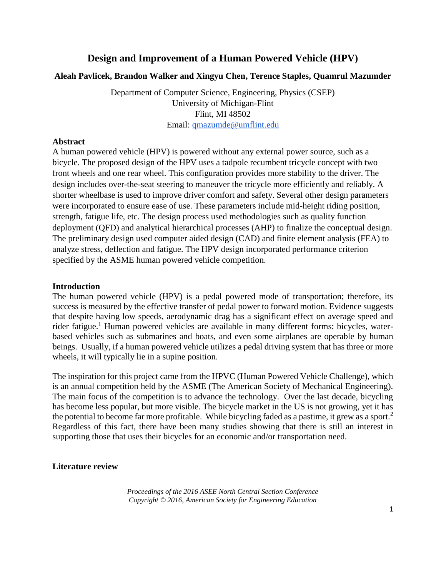# **Design and Improvement of a Human Powered Vehicle (HPV)**

## **Aleah Pavlicek, Brandon Walker and Xingyu Chen, Terence Staples, Quamrul Mazumder**

Department of Computer Science, Engineering, Physics (CSEP) University of Michigan-Flint Flint, MI 48502 Email: [qmazumde@umflint.edu](mailto:qmazumde@umflint.edu)

## **Abstract**

A human powered vehicle (HPV) is powered without any external power source, such as a bicycle. The proposed design of the HPV uses a tadpole recumbent tricycle concept with two front wheels and one rear wheel. This configuration provides more stability to the driver. The design includes over-the-seat steering to maneuver the tricycle more efficiently and reliably. A shorter wheelbase is used to improve driver comfort and safety. Several other design parameters were incorporated to ensure ease of use. These parameters include mid-height riding position, strength, fatigue life, etc. The design process used methodologies such as quality function deployment (QFD) and analytical hierarchical processes (AHP) to finalize the conceptual design. The preliminary design used computer aided design (CAD) and finite element analysis (FEA) to analyze stress, deflection and fatigue. The HPV design incorporated performance criterion specified by the ASME human powered vehicle competition.

#### **Introduction**

The human powered vehicle (HPV) is a pedal powered mode of transportation; therefore, its success is measured by the effective transfer of pedal power to forward motion. Evidence suggests that despite having low speeds, aerodynamic drag has a significant effect on average speed and rider fatigue.<sup>1</sup> Human powered vehicles are available in many different forms: bicycles, waterbased vehicles such as submarines and boats, and even some airplanes are operable by human beings. Usually, if a human powered vehicle utilizes a pedal driving system that has three or more wheels, it will typically lie in a supine position.

The inspiration for this project came from the HPVC (Human Powered Vehicle Challenge), which is an annual competition held by the ASME (The American Society of Mechanical Engineering). The main focus of the competition is to advance the technology. Over the last decade, bicycling has become less popular, but more visible. The bicycle market in the US is not growing, yet it has the potential to become far more profitable. While bicycling faded as a pastime, it grew as a sport.<sup>2</sup> Regardless of this fact, there have been many studies showing that there is still an interest in supporting those that uses their bicycles for an economic and/or transportation need.

#### **Literature review**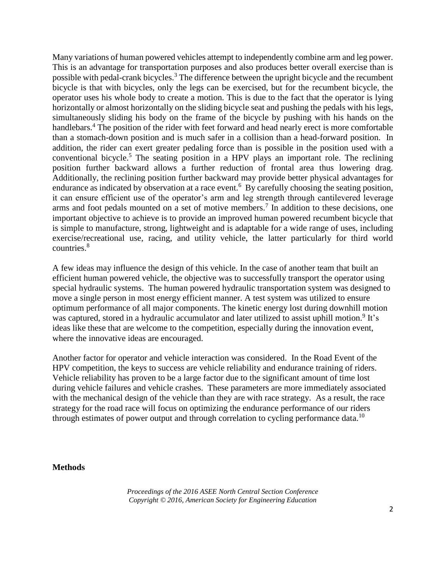Many variations of human powered vehicles attempt to independently combine arm and leg power. This is an advantage for transportation purposes and also produces better overall exercise than is possible with pedal-crank bicycles.<sup>3</sup> The difference between the upright bicycle and the recumbent bicycle is that with bicycles, only the legs can be exercised, but for the recumbent bicycle, the operator uses his whole body to create a motion. This is due to the fact that the operator is lying horizontally or almost horizontally on the sliding bicycle seat and pushing the pedals with his legs, simultaneously sliding his body on the frame of the bicycle by pushing with his hands on the handlebars.<sup>4</sup> The position of the rider with feet forward and head nearly erect is more comfortable than a stomach-down position and is much safer in a collision than a head-forward position. In addition, the rider can exert greater pedaling force than is possible in the position used with a conventional bicycle.<sup>5</sup> The seating position in a HPV plays an important role. The reclining position further backward allows a further reduction of frontal area thus lowering drag. Additionally, the reclining position further backward may provide better physical advantages for endurance as indicated by observation at a race event.<sup>6</sup> By carefully choosing the seating position, it can ensure efficient use of the operator's arm and leg strength through cantilevered leverage arms and foot pedals mounted on a set of motive members.<sup>7</sup> In addition to these decisions, one important objective to achieve is to provide an improved human powered recumbent bicycle that is simple to manufacture, strong, lightweight and is adaptable for a wide range of uses, including exercise/recreational use, racing, and utility vehicle, the latter particularly for third world countries.<sup>8</sup>

A few ideas may influence the design of this vehicle. In the case of another team that built an efficient human powered vehicle, the objective was to successfully transport the operator using special hydraulic systems. The human powered hydraulic transportation system was designed to move a single person in most energy efficient manner. A test system was utilized to ensure optimum performance of all major components. The kinetic energy lost during downhill motion was captured, stored in a hydraulic accumulator and later utilized to assist uphill motion.<sup>9</sup> It's ideas like these that are welcome to the competition, especially during the innovation event, where the innovative ideas are encouraged.

Another factor for operator and vehicle interaction was considered. In the Road Event of the HPV competition, the keys to success are vehicle reliability and endurance training of riders. Vehicle reliability has proven to be a large factor due to the significant amount of time lost during vehicle failures and vehicle crashes. These parameters are more immediately associated with the mechanical design of the vehicle than they are with race strategy. As a result, the race strategy for the road race will focus on optimizing the endurance performance of our riders through estimates of power output and through correlation to cycling performance data.<sup>10</sup>

#### **Methods**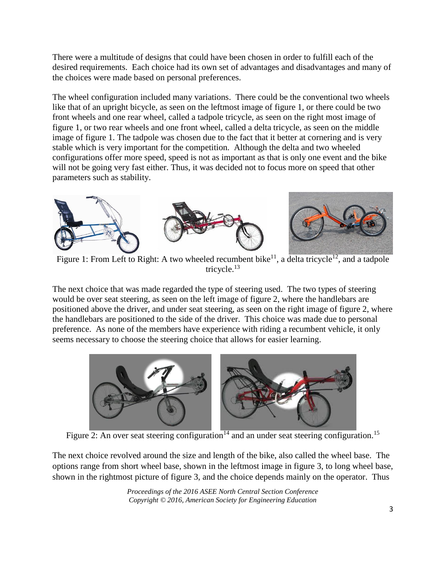There were a multitude of designs that could have been chosen in order to fulfill each of the desired requirements. Each choice had its own set of advantages and disadvantages and many of the choices were made based on personal preferences.

The wheel configuration included many variations. There could be the conventional two wheels like that of an upright bicycle, as seen on the leftmost image of figure 1, or there could be two front wheels and one rear wheel, called a tadpole tricycle, as seen on the right most image of figure 1, or two rear wheels and one front wheel, called a delta tricycle, as seen on the middle image of figure 1. The tadpole was chosen due to the fact that it better at cornering and is very stable which is very important for the competition. Although the delta and two wheeled configurations offer more speed, speed is not as important as that is only one event and the bike will not be going very fast either. Thus, it was decided not to focus more on speed that other parameters such as stability.



Figure 1: From Left to Right: A two wheeled recumbent bike<sup>11</sup>, a delta tricycle<sup>12</sup>, and a tadpole tricycle.<sup>13</sup>

The next choice that was made regarded the type of steering used. The two types of steering would be over seat steering, as seen on the left image of figure 2, where the handlebars are positioned above the driver, and under seat steering, as seen on the right image of figure 2, where the handlebars are positioned to the side of the driver. This choice was made due to personal preference. As none of the members have experience with riding a recumbent vehicle, it only seems necessary to choose the steering choice that allows for easier learning.



Figure 2: An over seat steering configuration<sup>14</sup> and an under seat steering configuration.<sup>15</sup>

The next choice revolved around the size and length of the bike, also called the wheel base. The options range from short wheel base, shown in the leftmost image in figure 3, to long wheel base, shown in the rightmost picture of figure 3, and the choice depends mainly on the operator. Thus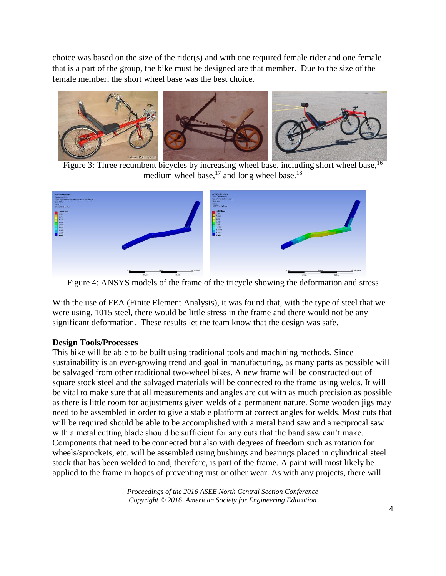choice was based on the size of the rider(s) and with one required female rider and one female that is a part of the group, the bike must be designed are that member. Due to the size of the female member, the short wheel base was the best choice.



Figure 3: Three recumbent bicycles by increasing wheel base, including short wheel base, <sup>16</sup> medium wheel base, $^{17}$  and long wheel base.<sup>18</sup>



Figure 4: ANSYS models of the frame of the tricycle showing the deformation and stress

With the use of FEA (Finite Element Analysis), it was found that, with the type of steel that we were using, 1015 steel, there would be little stress in the frame and there would not be any significant deformation. These results let the team know that the design was safe.

# **Design Tools/Processes**

This bike will be able to be built using traditional tools and machining methods. Since sustainability is an ever-growing trend and goal in manufacturing, as many parts as possible will be salvaged from other traditional two-wheel bikes. A new frame will be constructed out of square stock steel and the salvaged materials will be connected to the frame using welds. It will be vital to make sure that all measurements and angles are cut with as much precision as possible as there is little room for adjustments given welds of a permanent nature. Some wooden jigs may need to be assembled in order to give a stable platform at correct angles for welds. Most cuts that will be required should be able to be accomplished with a metal band saw and a reciprocal saw with a metal cutting blade should be sufficient for any cuts that the band saw can't make. Components that need to be connected but also with degrees of freedom such as rotation for wheels/sprockets, etc. will be assembled using bushings and bearings placed in cylindrical steel stock that has been welded to and, therefore, is part of the frame. A paint will most likely be applied to the frame in hopes of preventing rust or other wear. As with any projects, there will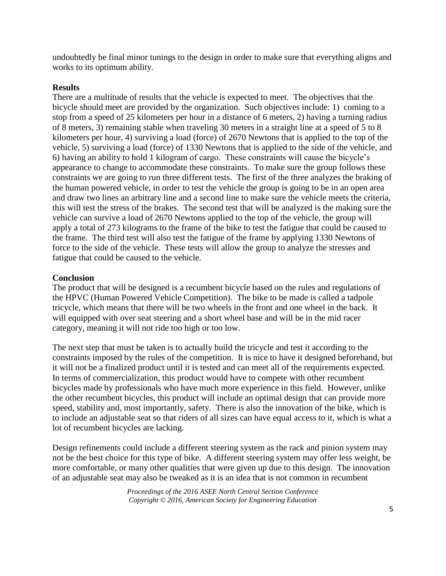undoubtedly be final minor tunings to the design in order to make sure that everything aligns and works to its optimum ability.

# **Results**

There are a multitude of results that the vehicle is expected to meet. The objectives that the bicycle should meet are provided by the organization. Such objectives include: 1) coming to a stop from a speed of 25 kilometers per hour in a distance of 6 meters, 2) having a turning radius of 8 meters, 3) remaining stable when traveling 30 meters in a straight line at a speed of 5 to 8 kilometers per hour, 4) surviving a load (force) of 2670 Newtons that is applied to the top of the vehicle, 5) surviving a load (force) of 1330 Newtons that is applied to the side of the vehicle, and 6) having an ability to hold 1 kilogram of cargo. These constraints will cause the bicycle's appearance to change to accommodate these constraints. To make sure the group follows these constraints we are going to run three different tests. The first of the three analyzes the braking of the human powered vehicle, in order to test the vehicle the group is going to be in an open area and draw two lines an arbitrary line and a second line to make sure the vehicle meets the criteria, this will test the stress of the brakes. The second test that will be analyzed is the making sure the vehicle can survive a load of 2670 Newtons applied to the top of the vehicle, the group will apply a total of 273 kilograms to the frame of the bike to test the fatigue that could be caused to the frame. The third test will also test the fatigue of the frame by applying 1330 Newtons of force to the side of the vehicle. These tests will allow the group to analyze the stresses and fatigue that could be caused to the vehicle.

# **Conclusion**

The product that will be designed is a recumbent bicycle based on the rules and regulations of the HPVC (Human Powered Vehicle Competition). The bike to be made is called a tadpole tricycle, which means that there will be two wheels in the front and one wheel in the back. It will equipped with over seat steering and a short wheel base and will be in the mid racer category, meaning it will not ride too high or too low.

The next step that must be taken is to actually build the tricycle and test it according to the constraints imposed by the rules of the competition. It is nice to have it designed beforehand, but it will not be a finalized product until it is tested and can meet all of the requirements expected. In terms of commercialization, this product would have to compete with other recumbent bicycles made by professionals who have much more experience in this field. However, unlike the other recumbent bicycles, this product will include an optimal design that can provide more speed, stability and, most importantly, safety. There is also the innovation of the bike, which is to include an adjustable seat so that riders of all sizes can have equal access to it, which is what a lot of recumbent bicycles are lacking.

Design refinements could include a different steering system as the rack and pinion system may not be the best choice for this type of bike. A different steering system may offer less weight, be more comfortable, or many other qualities that were given up due to this design. The innovation of an adjustable seat may also be tweaked as it is an idea that is not common in recumbent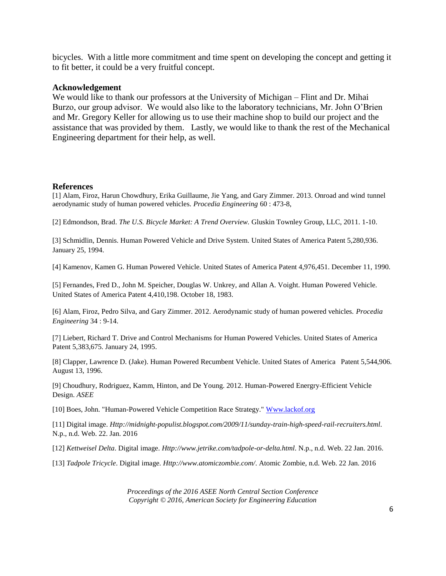bicycles. With a little more commitment and time spent on developing the concept and getting it to fit better, it could be a very fruitful concept.

#### **Acknowledgement**

We would like to thank our professors at the University of Michigan – Flint and Dr. Mihai Burzo, our group advisor. We would also like to the laboratory technicians, Mr. John O'Brien and Mr. Gregory Keller for allowing us to use their machine shop to build our project and the assistance that was provided by them. Lastly, we would like to thank the rest of the Mechanical Engineering department for their help, as well.

### **References**

[1] Alam, Firoz, Harun Chowdhury, Erika Guillaume, Jie Yang, and Gary Zimmer. 2013. Onroad and wind tunnel aerodynamic study of human powered vehicles. *Procedia Engineering* 60 : 473-8,

[2] Edmondson, Brad. *The U.S. Bicycle Market: A Trend Overview.* Gluskin Townley Group, LLC, 2011. 1-10.

[3] Schmidlin, Dennis. Human Powered Vehicle and Drive System. United States of America Patent 5,280,936. January 25, 1994.

[4] Kamenov, Kamen G. Human Powered Vehicle. United States of America Patent 4,976,451. December 11, 1990.

[5] Fernandes, Fred D., John M. Speicher, Douglas W. Unkrey, and Allan A. Voight. Human Powered Vehicle. United States of America Patent 4,410,198. October 18, 1983.

[6] Alam, Firoz, Pedro Silva, and Gary Zimmer. 2012. Aerodynamic study of human powered vehicles. *Procedia Engineering* 34 : 9-14.

[7] Liebert, Richard T. Drive and Control Mechanisms for Human Powered Vehicles. United States of America Patent 5,383,675. January 24, 1995.

[8] Clapper, Lawrence D. (Jake). Human Powered Recumbent Vehicle. United States of America Patent 5,544,906. August 13, 1996.

[9] Choudhury, Rodriguez, Kamm, Hinton, and De Young. 2012. Human-Powered Energry-Efficient Vehicle Design. *ASEE*

[10] Boes, John. "Human-Powered Vehicle Competition Race Strategy." [Www.lackof.org](http://www.lackof.org/)

[11] Digital image. *Http://midnight-populist.blogspot.com/2009/11/sunday-train-high-speed-rail-recruiters.html*. N.p., n.d. Web. 22. Jan. 2016

[12] *Kettweisel Delta*. Digital image. *Http://www.jetrike.com/tadpole-or-delta.html*. N.p., n.d. Web. 22 Jan. 2016.

[13] *Tadpole Tricycle*. Digital image. *Http://www.atomiczombie.com/*. Atomic Zombie, n.d. Web. 22 Jan. 2016